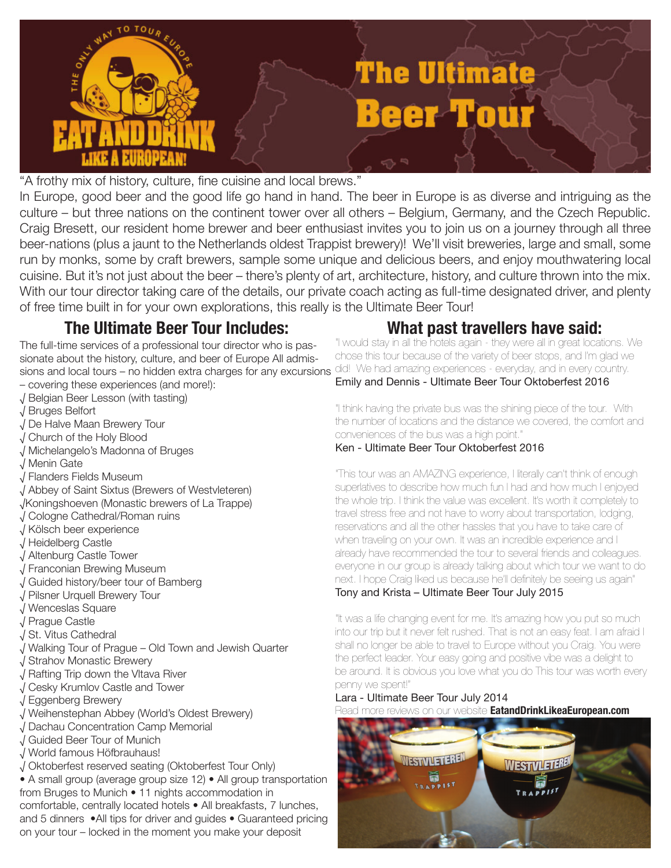

"A frothy mix of history, culture, fine cuisine and local brews."

In Europe, good beer and the good life go hand in hand. The beer in Europe is as diverse and intriguing as the culture – but three nations on the continent tower over all others – Belgium, Germany, and the Czech Republic. Craig Bresett, our resident home brewer and beer enthusiast invites you to join us on a journey through all three beer-nations (plus a jaunt to the Netherlands oldest Trappist brewery)! We'll visit breweries, large and small, some run by monks, some by craft brewers, sample some unique and delicious beers, and enjoy mouthwatering local cuisine. But it's not just about the beer – there's plenty of art, architecture, history, and culture thrown into the mix. With our tour director taking care of the details, our private coach acting as full-time designated driver, and plenty of free time built in for your own explorations, this really is the Ultimate Beer Tour!

# **The Ultimate Beer Tour Includes: What past travellers have said:**

The full-time services of a professional tour director who is passionate about the history, culture, and beer of Europe All admis**sions and local tours – no hidden extra charges for any excursions** <sup>did!</sup> We had amazing experiences - everyday, and in every country.

- covering these experiences (and more!):
- √ Belgian Beer Lesson (with tasting)
- √ Bruges Belfort
- √ De Halve Maan Brewery Tour
- √ Church of the Holy Blood
- √ Michelangelo's Madonna of Bruges
- √ Menin Gate
- √ Flanders Fields Museum
- √ Abbey of Saint Sixtus (Brewers of Westvleteren)
- √Koningshoeven (Monastic brewers of La Trappe)
- √ Cologne Cathedral/Roman ruins
- √ Kölsch beer experience
- √ Heidelberg Castle
- √ Altenburg Castle Tower
- √ Franconian Brewing Museum
- √ Guided history/beer tour of Bamberg
- √ Pilsner Urquell Brewery Tour
- √ Wenceslas Square
- √ Prague Castle
- √ St. Vitus Cathedral
- √ Walking Tour of Prague Old Town and Jewish Quarter
- √ Strahov Monastic Brewery
- √ Rafting Trip down the Vltava River
- √ Cesky Krumlov Castle and Tower
- √ Eggenberg Brewery
- √ Weihenstephan Abbey (World's Oldest Brewery)
- √ Dachau Concentration Camp Memorial
- √ Guided Beer Tour of Munich
- √ World famous Höfbrauhaus!
- √ Oktoberfest reserved seating (Oktoberfest Tour Only)

• A small group (average group size 12) • All group transportation from Bruges to Munich • 11 nights accommodation in comfortable, centrally located hotels • All breakfasts, 7 lunches, and 5 dinners •All tips for driver and guides • Guaranteed pricing on your tour – locked in the moment you make your deposit

"I would stay in all the hotels again - they were all in great locations. We chose this tour because of the variety of beer stops, and I'm glad we Emily and Dennis - Ultimate Beer Tour Oktoberfest 2016

"I think having the private bus was the shining piece of the tour. With the number of locations and the distance we covered, the comfort and conveniences of the bus was a high point."

### Ken - Ultimate Beer Tour Oktoberfest 2016

"This tour was an AMAZING experience, I literally can't think of enough superlatives to describe how much fun I had and how much I enjoyed the whole trip. I think the value was excellent. It's worth it completely to travel stress free and not have to worry about transportation, lodging, reservations and all the other hassles that you have to take care of when traveling on your own. It was an incredible experience and I already have recommended the tour to several friends and colleagues. everyone in our group is already talking about which tour we want to do next. I hope Craig liked us because he'll definitely be seeing us again" Tony and Krista – Ultimate Beer Tour July 2015

"It was a life changing event for me. It's amazing how you put so much into our trip but it never felt rushed. That is not an easy feat. I am afraid I shall no longer be able to travel to Europe without you Craig. You were the perfect leader. Your easy going and positive vibe was a delight to be around. It is obvious you love what you do This tour was worth every penny we spent!"

# Lara - Ultimate Beer Tour July 2014

Read more reviews on our website **EatandDrinkLikeaEuropean.com**